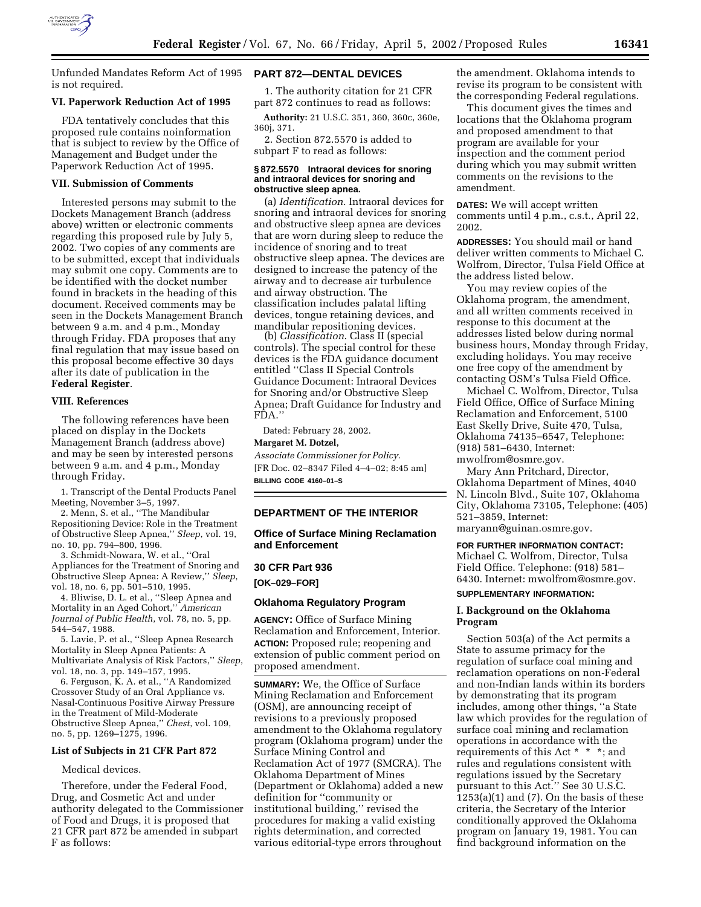

Unfunded Mandates Reform Act of 1995 is not required.

#### **VI. Paperwork Reduction Act of 1995**

FDA tentatively concludes that this proposed rule contains noinformation that is subject to review by the Office of Management and Budget under the Paperwork Reduction Act of 1995.

#### **VII. Submission of Comments**

Interested persons may submit to the Dockets Management Branch (address above) written or electronic comments regarding this proposed rule by July 5, 2002. Two copies of any comments are to be submitted, except that individuals may submit one copy. Comments are to be identified with the docket number found in brackets in the heading of this document. Received comments may be seen in the Dockets Management Branch between 9 a.m. and 4 p.m., Monday through Friday. FDA proposes that any final regulation that may issue based on this proposal become effective 30 days after its date of publication in the **Federal Register**.

#### **VIII. References**

The following references have been placed on display in the Dockets Management Branch (address above) and may be seen by interested persons between 9 a.m. and 4 p.m., Monday through Friday.

1. Transcript of the Dental Products Panel Meeting, November 3–5, 1997.

2. Menn, S. et al., ''The Mandibular Repositioning Device: Role in the Treatment of Obstructive Sleep Apnea,'' *Sleep*, vol. 19, no. 10, pp. 794–800, 1996.

3. Schmidt-Nowara, W. et al., ''Oral Appliances for the Treatment of Snoring and Obstructive Sleep Apnea: A Review,'' *Sleep*, vol. 18, no. 6, pp. 501–510, 1995.

4. Bliwise, D. L. et al., ''Sleep Apnea and Mortality in an Aged Cohort,'' *American Journal of Public Health*, vol. 78, no. 5, pp. 544–547, 1988.

5. Lavie, P. et al., ''Sleep Apnea Research Mortality in Sleep Apnea Patients: A Multivariate Analysis of Risk Factors,'' *Sleep*, vol. 18, no. 3, pp. 149–157, 1995.

6. Ferguson, K. A. et al., ''A Randomized Crossover Study of an Oral Appliance vs. Nasal-Continuous Positive Airway Pressure in the Treatment of Mild-Moderate Obstructive Sleep Apnea,'' *Chest*, vol. 109, no. 5, pp. 1269–1275, 1996.

#### **List of Subjects in 21 CFR Part 872**

#### Medical devices.

Therefore, under the Federal Food, Drug, and Cosmetic Act and under authority delegated to the Commissioner of Food and Drugs, it is proposed that 21 CFR part 872 be amended in subpart F as follows:

#### **PART 872—DENTAL DEVICES**

1. The authority citation for 21 CFR part 872 continues to read as follows:

**Authority:** 21 U.S.C. 351, 360, 360c, 360e, 360j, 371.

2. Section 872.5570 is added to subpart F to read as follows:

#### **§ 872.5570 Intraoral devices for snoring and intraoral devices for snoring and obstructive sleep apnea.**

(a) *Identification*. Intraoral devices for snoring and intraoral devices for snoring and obstructive sleep apnea are devices that are worn during sleep to reduce the incidence of snoring and to treat obstructive sleep apnea. The devices are designed to increase the patency of the airway and to decrease air turbulence and airway obstruction. The classification includes palatal lifting devices, tongue retaining devices, and<br>mandibular repositioning devices.

(b) *Classification*. Class II (special controls). The special control for these devices is the FDA guidance document entitled ''Class II Special Controls Guidance Document: Intraoral Devices for Snoring and/or Obstructive Sleep Apnea; Draft Guidance for Industry and FDA.''

Dated: February 28, 2002.

#### **Margaret M. Dotzel,**

*Associate Commissioner for Policy.* [FR Doc. 02–8347 Filed 4–4–02; 8:45 am] **BILLING CODE 4160–01–S**

#### **DEPARTMENT OF THE INTERIOR**

**Office of Surface Mining Reclamation and Enforcement**

# **30 CFR Part 936 [OK–029–FOR]**

## **Oklahoma Regulatory Program**

**AGENCY:** Office of Surface Mining Reclamation and Enforcement, Interior. **ACTION:** Proposed rule; reopening and extension of public comment period on proposed amendment.

**SUMMARY:** We, the Office of Surface Mining Reclamation and Enforcement (OSM), are announcing receipt of revisions to a previously proposed amendment to the Oklahoma regulatory program (Oklahoma program) under the Surface Mining Control and Reclamation Act of 1977 (SMCRA). The Oklahoma Department of Mines (Department or Oklahoma) added a new definition for ''community or institutional building,'' revised the procedures for making a valid existing rights determination, and corrected various editorial-type errors throughout the amendment. Oklahoma intends to revise its program to be consistent with the corresponding Federal regulations.

This document gives the times and locations that the Oklahoma program and proposed amendment to that program are available for your inspection and the comment period during which you may submit written comments on the revisions to the amendment.

**DATES:** We will accept written comments until 4 p.m., c.s.t., April 22, 2002.

**ADDRESSES:** You should mail or hand deliver written comments to Michael C. Wolfrom, Director, Tulsa Field Office at the address listed below.

You may review copies of the Oklahoma program, the amendment, and all written comments received in response to this document at the addresses listed below during normal business hours, Monday through Friday, excluding holidays. You may receive one free copy of the amendment by contacting OSM's Tulsa Field Office.

Michael C. Wolfrom, Director, Tulsa Field Office, Office of Surface Mining Reclamation and Enforcement, 5100 East Skelly Drive, Suite 470, Tulsa, Oklahoma 74135–6547, Telephone: (918) 581–6430, Internet: mwolfrom@osmre.gov.

Mary Ann Pritchard, Director, Oklahoma Department of Mines, 4040 N. Lincoln Blvd., Suite 107, Oklahoma City, Oklahoma 73105, Telephone: (405) 521–3859, Internet: maryann@guinan.osmre.gov.

**FOR FURTHER INFORMATION CONTACT:** Michael C. Wolfrom, Director, Tulsa Field Office. Telephone: (918) 581– 6430. Internet: mwolfrom@osmre.gov.

## **SUPPLEMENTARY INFORMATION:**

### **I. Background on the Oklahoma Program**

Section 503(a) of the Act permits a State to assume primacy for the regulation of surface coal mining and reclamation operations on non-Federal and non-Indian lands within its borders by demonstrating that its program includes, among other things, ''a State law which provides for the regulation of surface coal mining and reclamation operations in accordance with the requirements of this Act \* \* \*; and rules and regulations consistent with regulations issued by the Secretary pursuant to this Act.'' See 30 U.S.C.  $1253(a)(1)$  and  $(7)$ . On the basis of these criteria, the Secretary of the Interior conditionally approved the Oklahoma program on January 19, 1981. You can find background information on the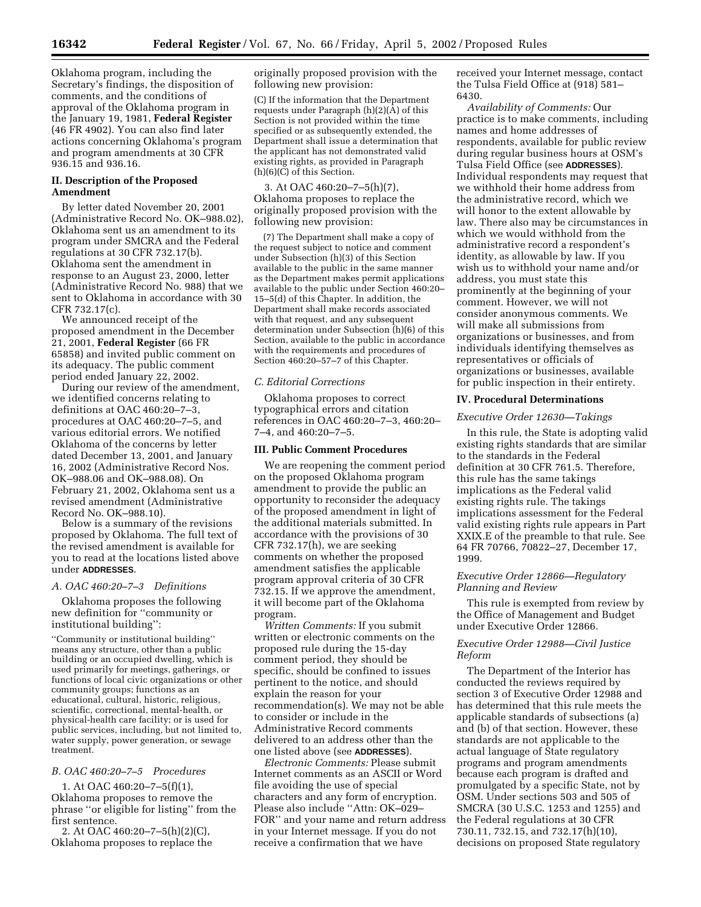Oklahoma program, including the Secretary's findings, the disposition of comments, and the conditions of approval of the Oklahoma program in the January 19, 1981, **Federal Register** (46 FR 4902). You can also find later actions concerning Oklahoma's program and program amendments at 30 CFR 936.15 and 936.16.

## **II. Description of the Proposed Amendment**

By letter dated November 20, 2001 (Administrative Record No. OK–988.02), Oklahoma sent us an amendment to its program under SMCRA and the Federal regulations at 30 CFR 732.17(b). Oklahoma sent the amendment in response to an August 23, 2000, letter (Administrative Record No. 988) that we sent to Oklahoma in accordance with 30 CFR 732.17(c).

We announced receipt of the proposed amendment in the December 21, 2001, **Federal Register** (66 FR 65858) and invited public comment on its adequacy. The public comment period ended January 22, 2002.

During our review of the amendment, we identified concerns relating to definitions at OAC 460:20–7–3, procedures at OAC 460:20–7–5, and various editorial errors. We notified Oklahoma of the concerns by letter dated December 13, 2001, and January 16, 2002 (Administrative Record Nos. OK–988.06 and OK–988.08). On February 21, 2002, Oklahoma sent us a revised amendment (Administrative Record No. OK–988.10).

Below is a summary of the revisions proposed by Oklahoma. The full text of the revised amendment is available for you to read at the locations listed above under **ADDRESSES**.

### *A. OAC 460:20–7–3 Definitions*

Oklahoma proposes the following new definition for ''community or institutional building'':

''Community or institutional building'' means any structure, other than a public building or an occupied dwelling, which is used primarily for meetings, gatherings, or functions of local civic organizations or other community groups; functions as an educational, cultural, historic, religious, scientific, correctional, mental-health, or physical-health care facility; or is used for public services, including, but not limited to, water supply, power generation, or sewage treatment.

## *B. OAC 460:20–7–5 Procedures*

1. At OAC 460:20–7–5(f)(1), Oklahoma proposes to remove the phrase ''or eligible for listing'' from the first sentence.

2. At OAC 460:20–7–5(h)(2)(C), Oklahoma proposes to replace the originally proposed provision with the following new provision:

(C) If the information that the Department requests under Paragraph (h)(2)(A) of this Section is not provided within the time specified or as subsequently extended, the Department shall issue a determination that the applicant has not demonstrated valid existing rights, as provided in Paragraph (h)(6)(C) of this Section.

3. At OAC 460:20–7–5(h)(7), Oklahoma proposes to replace the originally proposed provision with the following new provision:

(7) The Department shall make a copy of the request subject to notice and comment under Subsection (h)(3) of this Section available to the public in the same manner as the Department makes permit applications available to the public under Section 460:20– 15–5(d) of this Chapter. In addition, the Department shall make records associated with that request, and any subsequent determination under Subsection (h)(6) of this Section, available to the public in accordance with the requirements and procedures of Section 460:20–57–7 of this Chapter.

## *C. Editorial Corrections*

Oklahoma proposes to correct typographical errors and citation references in OAC 460:20–7–3, 460:20– 7–4, and 460:20–7–5.

#### **III. Public Comment Procedures**

We are reopening the comment period on the proposed Oklahoma program amendment to provide the public an opportunity to reconsider the adequacy of the proposed amendment in light of the additional materials submitted. In accordance with the provisions of 30 CFR 732.17(h), we are seeking comments on whether the proposed amendment satisfies the applicable program approval criteria of 30 CFR 732.15. If we approve the amendment, it will become part of the Oklahoma program.

*Written Comments:* If you submit written or electronic comments on the proposed rule during the 15-day comment period, they should be specific, should be confined to issues pertinent to the notice, and should explain the reason for your recommendation(s). We may not be able to consider or include in the Administrative Record comments delivered to an address other than the one listed above (see **ADDRESSES**).

*Electronic Comments:* Please submit Internet comments as an ASCII or Word file avoiding the use of special characters and any form of encryption. Please also include ''Attn: OK–029– FOR'' and your name and return address in your Internet message. If you do not receive a confirmation that we have

received your Internet message, contact the Tulsa Field Office at (918) 581– 6430.

*Availability of Comments:* Our practice is to make comments, including names and home addresses of respondents, available for public review during regular business hours at OSM's Tulsa Field Office (see **ADDRESSES**). Individual respondents may request that we withhold their home address from the administrative record, which we will honor to the extent allowable by law. There also may be circumstances in which we would withhold from the administrative record a respondent's identity, as allowable by law. If you wish us to withhold your name and/or address, you must state this prominently at the beginning of your comment. However, we will not consider anonymous comments. We will make all submissions from organizations or businesses, and from individuals identifying themselves as representatives or officials of organizations or businesses, available for public inspection in their entirety.

#### **IV. Procedural Determinations**

## *Executive Order 12630—Takings*

In this rule, the State is adopting valid existing rights standards that are similar to the standards in the Federal definition at 30 CFR 761.5. Therefore, this rule has the same takings implications as the Federal valid existing rights rule. The takings implications assessment for the Federal valid existing rights rule appears in Part XXIX.E of the preamble to that rule. See 64 FR 70766, 70822–27, December 17, 1999.

### *Executive Order 12866—Regulatory Planning and Review*

This rule is exempted from review by the Office of Management and Budget under Executive Order 12866.

## *Executive Order 12988—Civil Justice Reform*

The Department of the Interior has conducted the reviews required by section 3 of Executive Order 12988 and has determined that this rule meets the applicable standards of subsections (a) and (b) of that section. However, these standards are not applicable to the actual language of State regulatory programs and program amendments because each program is drafted and promulgated by a specific State, not by OSM. Under sections 503 and 505 of SMCRA (30 U.S.C. 1253 and 1255) and the Federal regulations at 30 CFR 730.11, 732.15, and 732.17(h)(10), decisions on proposed State regulatory